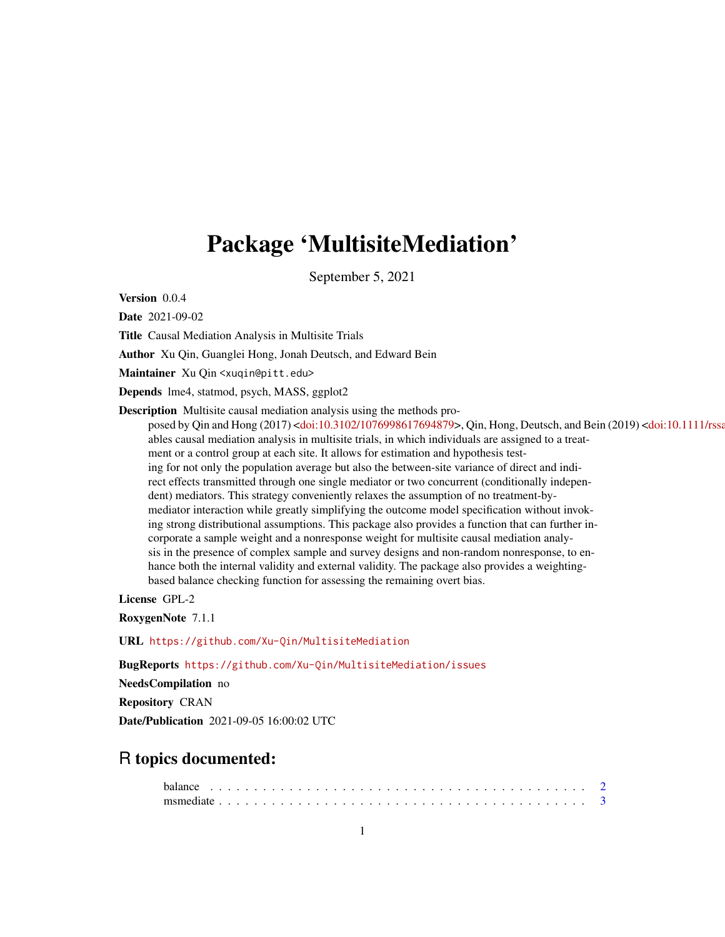## Package 'MultisiteMediation'

September 5, 2021

Version 0.0.4

Date 2021-09-02

Title Causal Mediation Analysis in Multisite Trials

Author Xu Qin, Guanglei Hong, Jonah Deutsch, and Edward Bein

Maintainer Xu Qin <xuqin@pitt.edu>

Depends lme4, statmod, psych, MASS, ggplot2

Description Multisite causal mediation analysis using the methods pro-

posed by Qin and Hong (2017) [<doi:10.3102/1076998617694879>](https://doi.org/10.3102/1076998617694879), Qin, Hong, Deutsch, and Bein (2019) <doi:10.1111/rssa ables causal mediation analysis in multisite trials, in which individuals are assigned to a treatment or a control group at each site. It allows for estimation and hypothesis testing for not only the population average but also the between-site variance of direct and indirect effects transmitted through one single mediator or two concurrent (conditionally independent) mediators. This strategy conveniently relaxes the assumption of no treatment-bymediator interaction while greatly simplifying the outcome model specification without invoking strong distributional assumptions. This package also provides a function that can further incorporate a sample weight and a nonresponse weight for multisite causal mediation analysis in the presence of complex sample and survey designs and non-random nonresponse, to enhance both the internal validity and external validity. The package also provides a weightingbased balance checking function for assessing the remaining overt bias.

License GPL-2

RoxygenNote 7.1.1

URL <https://github.com/Xu-Qin/MultisiteMediation>

BugReports <https://github.com/Xu-Qin/MultisiteMediation/issues>

NeedsCompilation no

Repository CRAN

Date/Publication 2021-09-05 16:00:02 UTC

### R topics documented: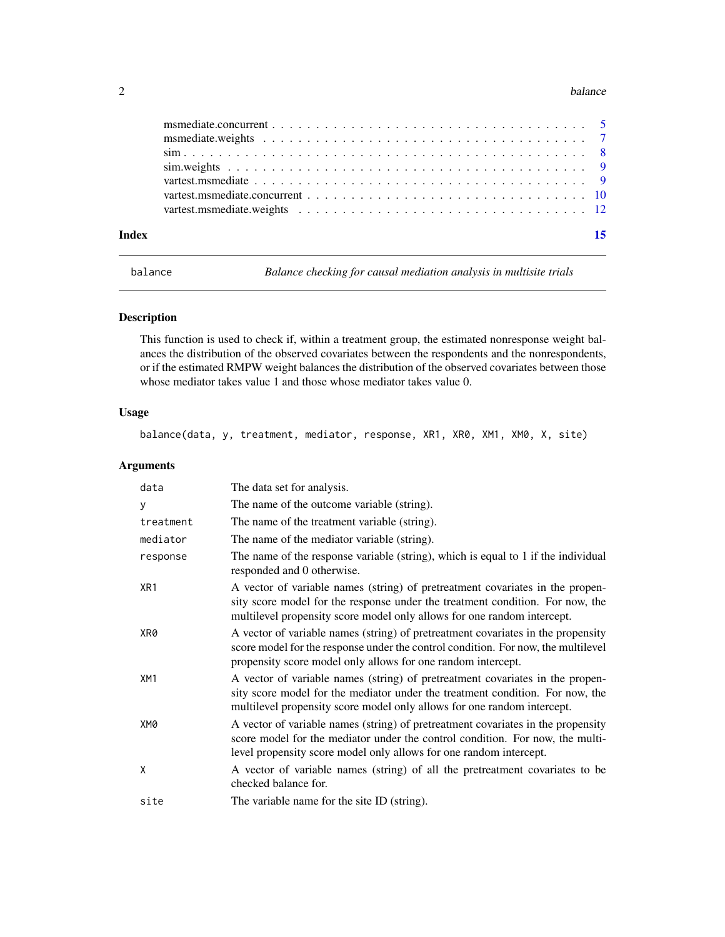#### <span id="page-1-0"></span>2 balance below the state of the state of the state of the state of the state of the state of the state of the state of the state of the state of the state of the state of the state of the state of the state of the state o

| Index | 15 |
|-------|----|
|       |    |
|       |    |
|       |    |
|       |    |
|       |    |
|       |    |

balance *Balance checking for causal mediation analysis in multisite trials*

#### Description

This function is used to check if, within a treatment group, the estimated nonresponse weight balances the distribution of the observed covariates between the respondents and the nonrespondents, or if the estimated RMPW weight balances the distribution of the observed covariates between those whose mediator takes value 1 and those whose mediator takes value 0.

#### Usage

balance(data, y, treatment, mediator, response, XR1, XR0, XM1, XM0, X, site)

| data            | The data set for analysis.                                                                                                                                                                                                                |
|-----------------|-------------------------------------------------------------------------------------------------------------------------------------------------------------------------------------------------------------------------------------------|
| у               | The name of the outcome variable (string).                                                                                                                                                                                                |
| treatment       | The name of the treatment variable (string).                                                                                                                                                                                              |
| mediator        | The name of the mediator variable (string).                                                                                                                                                                                               |
| response        | The name of the response variable (string), which is equal to 1 if the individual<br>responded and 0 otherwise.                                                                                                                           |
| XR1             | A vector of variable names (string) of pretreatment covariates in the propen-<br>sity score model for the response under the treatment condition. For now, the<br>multilevel propensity score model only allows for one random intercept. |
| XR0             | A vector of variable names (string) of pretreatment covariates in the propensity<br>score model for the response under the control condition. For now, the multilevel<br>propensity score model only allows for one random intercept.     |
| XM <sub>1</sub> | A vector of variable names (string) of pretreatment covariates in the propen-<br>sity score model for the mediator under the treatment condition. For now, the<br>multilevel propensity score model only allows for one random intercept. |
| XM0             | A vector of variable names (string) of pretreatment covariates in the propensity<br>score model for the mediator under the control condition. For now, the multi-<br>level propensity score model only allows for one random intercept.   |
| X               | A vector of variable names (string) of all the pretreatment covariates to be<br>checked balance for.                                                                                                                                      |
| site            | The variable name for the site ID (string).                                                                                                                                                                                               |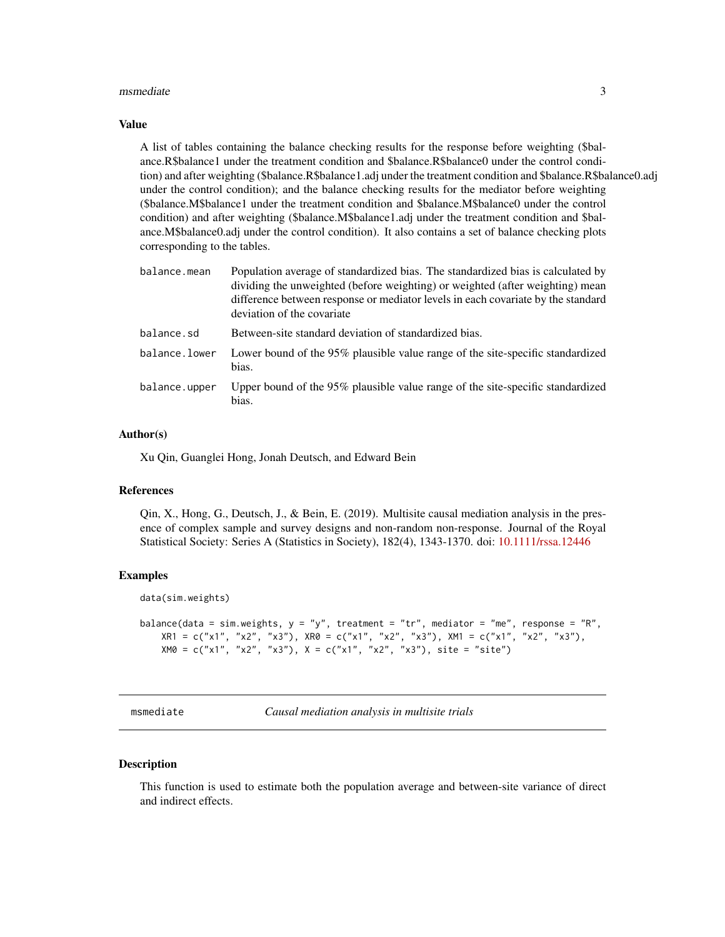#### <span id="page-2-0"></span>msmediate 3

#### Value

A list of tables containing the balance checking results for the response before weighting (\$balance.R\$balance1 under the treatment condition and \$balance.R\$balance0 under the control condition) and after weighting (\$balance.R\$balance1.adj under the treatment condition and \$balance.R\$balance0.adj under the control condition); and the balance checking results for the mediator before weighting (\$balance.M\$balance1 under the treatment condition and \$balance.M\$balance0 under the control condition) and after weighting (\$balance.M\$balance1.adj under the treatment condition and \$balance.M\$balance0.adj under the control condition). It also contains a set of balance checking plots corresponding to the tables.

| balance.mean  | Population average of standardized bias. The standardized bias is calculated by<br>dividing the unweighted (before weighting) or weighted (after weighting) mean<br>difference between response or mediator levels in each covariate by the standard<br>deviation of the covariate |
|---------------|------------------------------------------------------------------------------------------------------------------------------------------------------------------------------------------------------------------------------------------------------------------------------------|
| balance.sd    | Between-site standard deviation of standardized bias.                                                                                                                                                                                                                              |
| balance.lower | Lower bound of the 95% plausible value range of the site-specific standardized<br>bias.                                                                                                                                                                                            |
| balance.upper | Upper bound of the 95% plausible value range of the site-specific standardized<br>bias.                                                                                                                                                                                            |

#### Author(s)

Xu Qin, Guanglei Hong, Jonah Deutsch, and Edward Bein

#### References

Qin, X., Hong, G., Deutsch, J., & Bein, E. (2019). Multisite causal mediation analysis in the presence of complex sample and survey designs and non-random non-response. Journal of the Royal Statistical Society: Series A (Statistics in Society), 182(4), 1343-1370. doi: [10.1111/rssa.12446](https://doi.org/10.1111/rssa.12446)

#### Examples

```
data(sim.weights)
```

```
balance(data = sim.weights, y = y'', treatment = "tr", mediator = "me", response = "R",
   XR1 = c("x1", "x2", "x3"), XR0 = c("x1", "x2", "x3"), XM1 = c("x1", "x2", "x3"),XM0 = c("x1", "x2", "x3"), X = c("x1", "x2", "x3"), site = "site")
```
msmediate *Causal mediation analysis in multisite trials*

#### Description

This function is used to estimate both the population average and between-site variance of direct and indirect effects.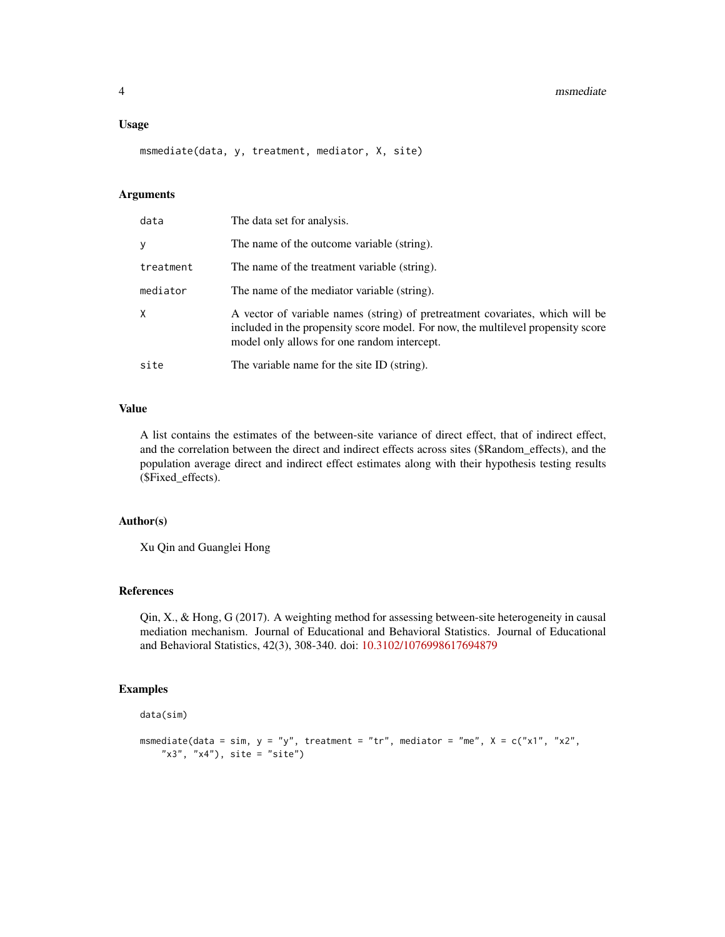#### 4 msmediate

#### Usage

msmediate(data, y, treatment, mediator, X, site)

#### Arguments

| data      | The data set for analysis.                                                                                                                                                                                       |
|-----------|------------------------------------------------------------------------------------------------------------------------------------------------------------------------------------------------------------------|
| y         | The name of the outcome variable (string).                                                                                                                                                                       |
| treatment | The name of the treatment variable (string).                                                                                                                                                                     |
| mediator  | The name of the mediator variable (string).                                                                                                                                                                      |
| X         | A vector of variable names (string) of pretreatment covariates, which will be<br>included in the propensity score model. For now, the multilevel propensity score<br>model only allows for one random intercept. |
| site      | The variable name for the site ID (string).                                                                                                                                                                      |

#### Value

A list contains the estimates of the between-site variance of direct effect, that of indirect effect, and the correlation between the direct and indirect effects across sites (\$Random\_effects), and the population average direct and indirect effect estimates along with their hypothesis testing results (\$Fixed\_effects).

#### Author(s)

Xu Qin and Guanglei Hong

#### References

Qin, X., & Hong, G (2017). A weighting method for assessing between-site heterogeneity in causal mediation mechanism. Journal of Educational and Behavioral Statistics. Journal of Educational and Behavioral Statistics, 42(3), 308-340. doi: [10.3102/1076998617694879](https://doi.org/10.3102/1076998617694879)

#### Examples

data(sim)

```
msmediate(data = sim, y = "y", treatment = "tr", mediator = "me", X = c("x1", "x2","x3", "x4"), site = "site")
```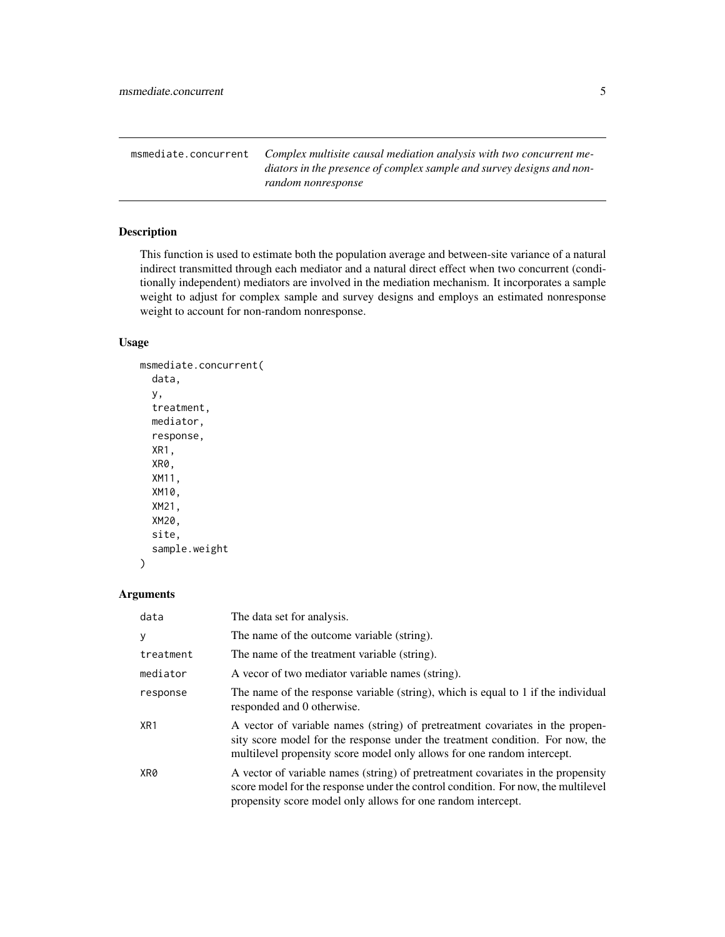<span id="page-4-0"></span>msmediate.concurrent *Complex multisite causal mediation analysis with two concurrent mediators in the presence of complex sample and survey designs and nonrandom nonresponse*

#### Description

This function is used to estimate both the population average and between-site variance of a natural indirect transmitted through each mediator and a natural direct effect when two concurrent (conditionally independent) mediators are involved in the mediation mechanism. It incorporates a sample weight to adjust for complex sample and survey designs and employs an estimated nonresponse weight to account for non-random nonresponse.

#### Usage

```
msmediate.concurrent(
  data,
 y,
  treatment,
  mediator,
  response,
  XR1,
  XR0,
  XM11,
  XM10,
  XM21,
  XM20,
  site,
  sample.weight
)
```

| data      | The data set for analysis.                                                                                                                                                                                                                |
|-----------|-------------------------------------------------------------------------------------------------------------------------------------------------------------------------------------------------------------------------------------------|
| у         | The name of the outcome variable (string).                                                                                                                                                                                                |
| treatment | The name of the treatment variable (string).                                                                                                                                                                                              |
| mediator  | A vecor of two mediator variable names (string).                                                                                                                                                                                          |
| response  | The name of the response variable (string), which is equal to 1 if the individual<br>responded and 0 otherwise.                                                                                                                           |
| XR1       | A vector of variable names (string) of pretreatment covariates in the propen-<br>sity score model for the response under the treatment condition. For now, the<br>multilevel propensity score model only allows for one random intercept. |
| XR0       | A vector of variable names (string) of pretreatment covariates in the propensity<br>score model for the response under the control condition. For now, the multilevel<br>propensity score model only allows for one random intercept.     |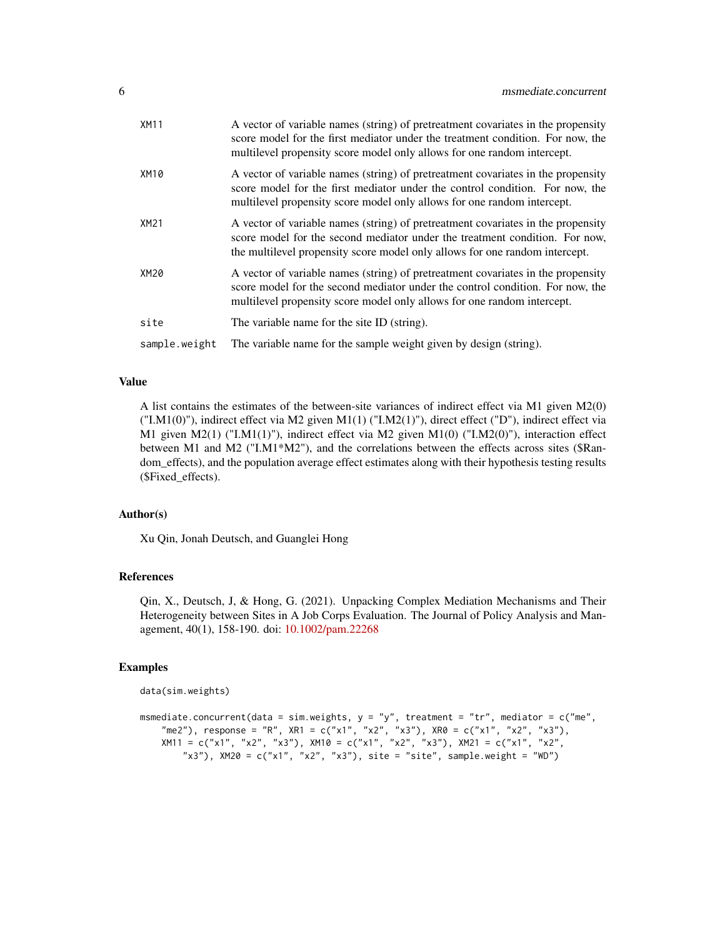| <b>XM11</b>   | A vector of variable names (string) of pretreatment covariates in the propensity<br>score model for the first mediator under the treatment condition. For now, the<br>multilevel propensity score model only allows for one random intercept.  |
|---------------|------------------------------------------------------------------------------------------------------------------------------------------------------------------------------------------------------------------------------------------------|
| XM10          | A vector of variable names (string) of pretreatment covariates in the propensity<br>score model for the first mediator under the control condition. For now, the<br>multilevel propensity score model only allows for one random intercept.    |
| XM21          | A vector of variable names (string) of pretreatment covariates in the propensity<br>score model for the second mediator under the treatment condition. For now,<br>the multilevel propensity score model only allows for one random intercept. |
| XM20          | A vector of variable names (string) of pretreatment covariates in the propensity<br>score model for the second mediator under the control condition. For now, the<br>multilevel propensity score model only allows for one random intercept.   |
| site          | The variable name for the site ID (string).                                                                                                                                                                                                    |
| sample.weight | The variable name for the sample weight given by design (string).                                                                                                                                                                              |

#### Value

A list contains the estimates of the between-site variances of indirect effect via M1 given M2(0) ("I.M1(0)"), indirect effect via M2 given M1(1) ("I.M2(1)"), direct effect ("D"), indirect effect via M1 given M2(1) ("I.M1(1)"), indirect effect via M2 given M1(0) ("I.M2(0)"), interaction effect between M1 and M2 ("I.M1\*M2"), and the correlations between the effects across sites (\$Random\_effects), and the population average effect estimates along with their hypothesis testing results (\$Fixed\_effects).

#### Author(s)

Xu Qin, Jonah Deutsch, and Guanglei Hong

#### References

Qin, X., Deutsch, J, & Hong, G. (2021). Unpacking Complex Mediation Mechanisms and Their Heterogeneity between Sites in A Job Corps Evaluation. The Journal of Policy Analysis and Management, 40(1), 158-190. doi: [10.1002/pam.22268](https://doi.org/10.1002/pam.22268)

#### Examples

```
data(sim.weights)
```

```
msmediate.concurrent(data = sim.weights, y = "y", treatment = "tr", mediator = c("me",
    "me2"), response = "R", XR1 = c("x1", "x2", "x3"), XR0 = c("x1", "x2", "x3"),
    XM11 = c("x1", "x2", "x3"), XM10 = c("x1", "x2", "x3"), XM21 = c("x1", "x2",
        "x3"), X M 20 = c("x1", "x2", "x3"), site = "site", sample.weight = "WD")
```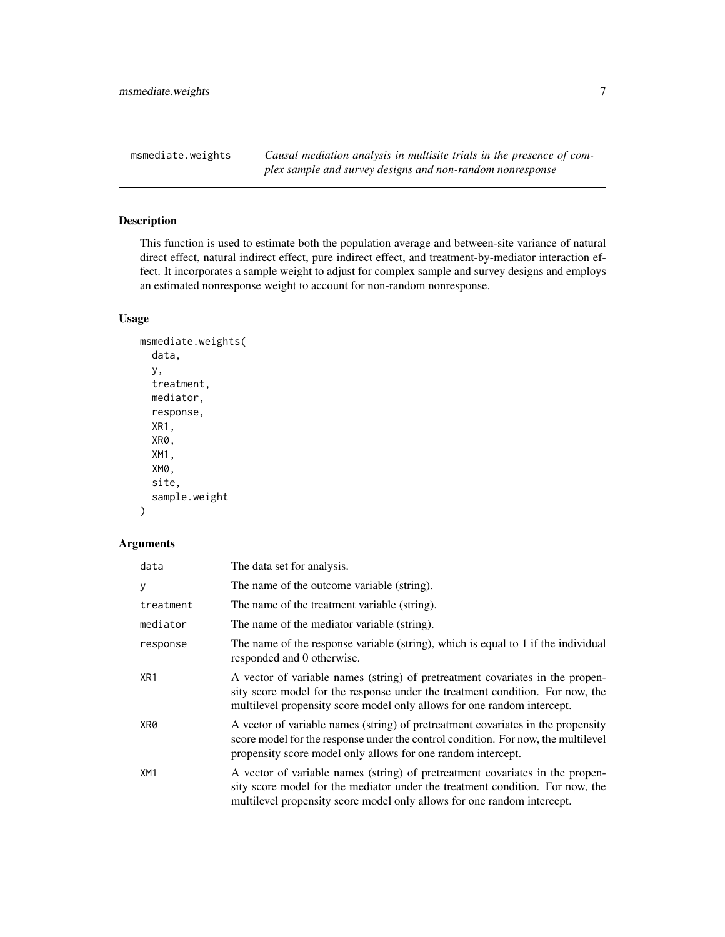<span id="page-6-0"></span>msmediate.weights *Causal mediation analysis in multisite trials in the presence of complex sample and survey designs and non-random nonresponse*

#### Description

This function is used to estimate both the population average and between-site variance of natural direct effect, natural indirect effect, pure indirect effect, and treatment-by-mediator interaction effect. It incorporates a sample weight to adjust for complex sample and survey designs and employs an estimated nonresponse weight to account for non-random nonresponse.

#### Usage

```
msmediate.weights(
  data,
 y,
  treatment,
 mediator,
  response,
  XR1,
  XR0,
  XM1,
  XM0,
  site,
  sample.weight
```

```
)
```

| data      | The data set for analysis.                                                                                                                                                                                                                |
|-----------|-------------------------------------------------------------------------------------------------------------------------------------------------------------------------------------------------------------------------------------------|
| y         | The name of the outcome variable (string).                                                                                                                                                                                                |
| treatment | The name of the treatment variable (string).                                                                                                                                                                                              |
| mediator  | The name of the mediator variable (string).                                                                                                                                                                                               |
| response  | The name of the response variable (string), which is equal to 1 if the individual<br>responded and 0 otherwise.                                                                                                                           |
| XR1       | A vector of variable names (string) of pretreatment covariates in the propen-<br>sity score model for the response under the treatment condition. For now, the<br>multilevel propensity score model only allows for one random intercept. |
| XR0       | A vector of variable names (string) of pretreatment covariates in the propensity<br>score model for the response under the control condition. For now, the multilevel<br>propensity score model only allows for one random intercept.     |
| XM1       | A vector of variable names (string) of pretreatment covariates in the propen-<br>sity score model for the mediator under the treatment condition. For now, the<br>multilevel propensity score model only allows for one random intercept. |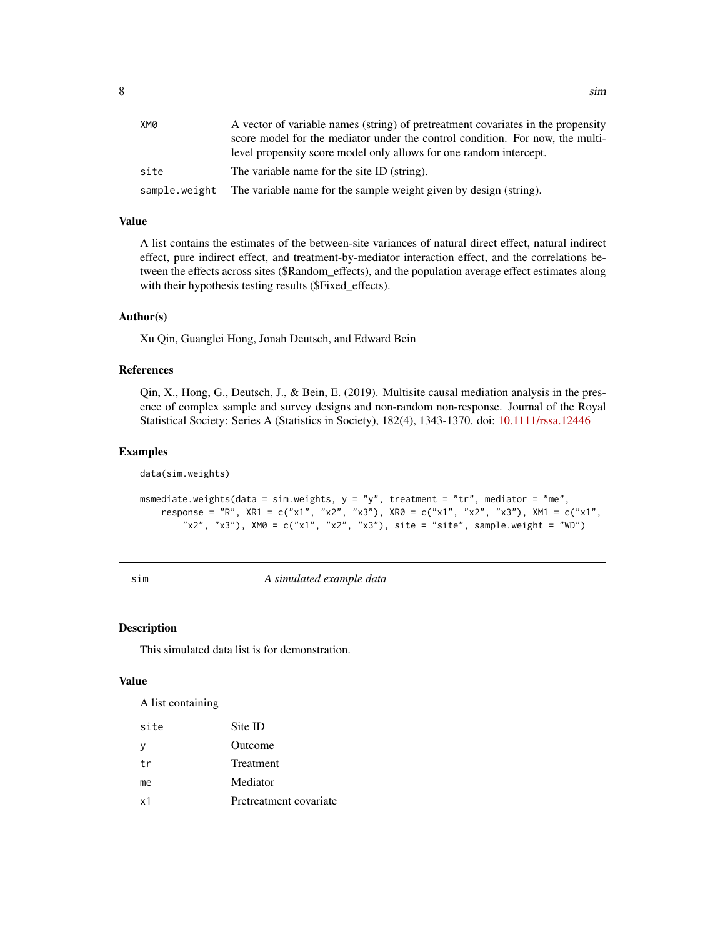<span id="page-7-0"></span>

| XM0  | A vector of variable names (string) of pretreatment covariates in the propensity |
|------|----------------------------------------------------------------------------------|
|      | score model for the mediator under the control condition. For now, the multi-    |
|      | level propensity score model only allows for one random intercept.               |
| site | The variable name for the site ID (string).                                      |
|      | sample weight The variable name for the sample weight given by design (string).  |

#### Value

A list contains the estimates of the between-site variances of natural direct effect, natural indirect effect, pure indirect effect, and treatment-by-mediator interaction effect, and the correlations between the effects across sites (\$Random\_effects), and the population average effect estimates along with their hypothesis testing results (\$Fixed\_effects).

#### Author(s)

Xu Qin, Guanglei Hong, Jonah Deutsch, and Edward Bein

#### References

Qin, X., Hong, G., Deutsch, J., & Bein, E. (2019). Multisite causal mediation analysis in the presence of complex sample and survey designs and non-random non-response. Journal of the Royal Statistical Society: Series A (Statistics in Society), 182(4), 1343-1370. doi: [10.1111/rssa.12446](https://doi.org/10.1111/rssa.12446)

#### Examples

data(sim.weights)

```
msmediate.weights(data = sim.weights, y = "y", treatment = "tr", mediator = "me",
    response = "R", XR1 = c("x1", "x2", "x3"), XR0 = c("x1", "x2", "x3"), XM1 = c("x1",
        "x2", "x3"), XMQ = c("x1", "x2", "x3"), site = "site", sample.weight = "WD")
```
sim *A simulated example data*

#### Description

This simulated data list is for demonstration.

#### Value

A list containing

| site     | Site ID                |
|----------|------------------------|
| <b>y</b> | Outcome                |
| tr       | <b>Treatment</b>       |
| me       | Mediator               |
| x1       | Pretreatment covariate |
|          |                        |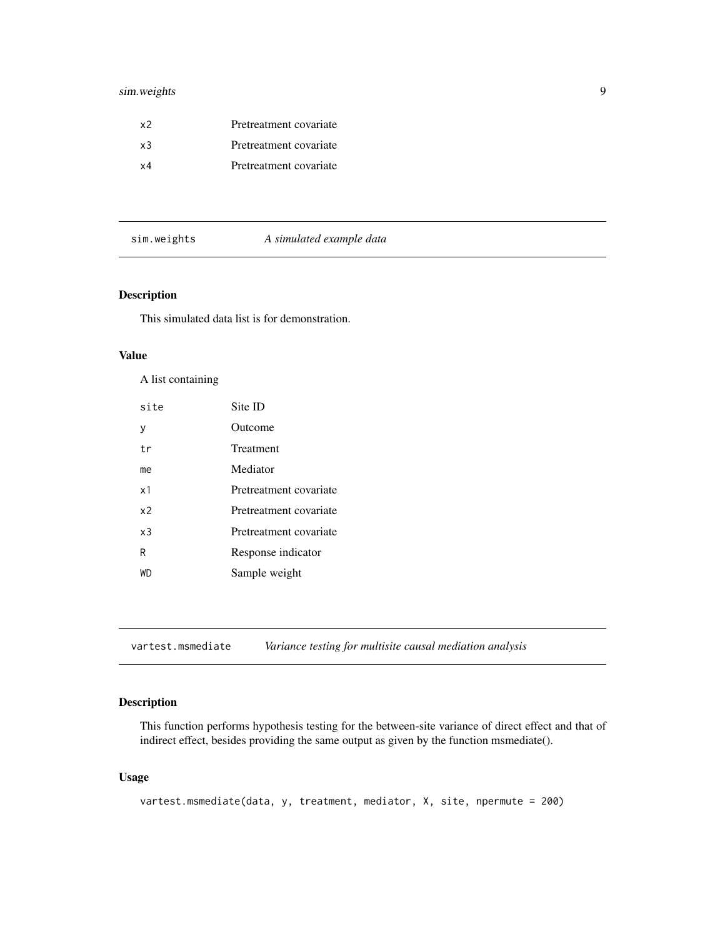#### <span id="page-8-0"></span>sim.weights 9

| x2         | Pretreatment covariate |
|------------|------------------------|
| x3         | Pretreatment covariate |
| $\times 4$ | Pretreatment covariate |

|  | sim.weights |
|--|-------------|
|  |             |

#### s *A simulated example data*

#### Description

This simulated data list is for demonstration.

#### Value

A list containing

| site           | Site ID                |
|----------------|------------------------|
| у              | Outcome                |
| tr             | Treatment              |
| me             | Mediator               |
| x1             | Pretreatment covariate |
| x <sub>2</sub> | Pretreatment covariate |
| x <sub>3</sub> | Pretreatment covariate |
| R              | Response indicator     |
| WD             | Sample weight          |

vartest.msmediate *Variance testing for multisite causal mediation analysis*

#### Description

This function performs hypothesis testing for the between-site variance of direct effect and that of indirect effect, besides providing the same output as given by the function msmediate().

#### Usage

```
vartest.msmediate(data, y, treatment, mediator, X, site, npermute = 200)
```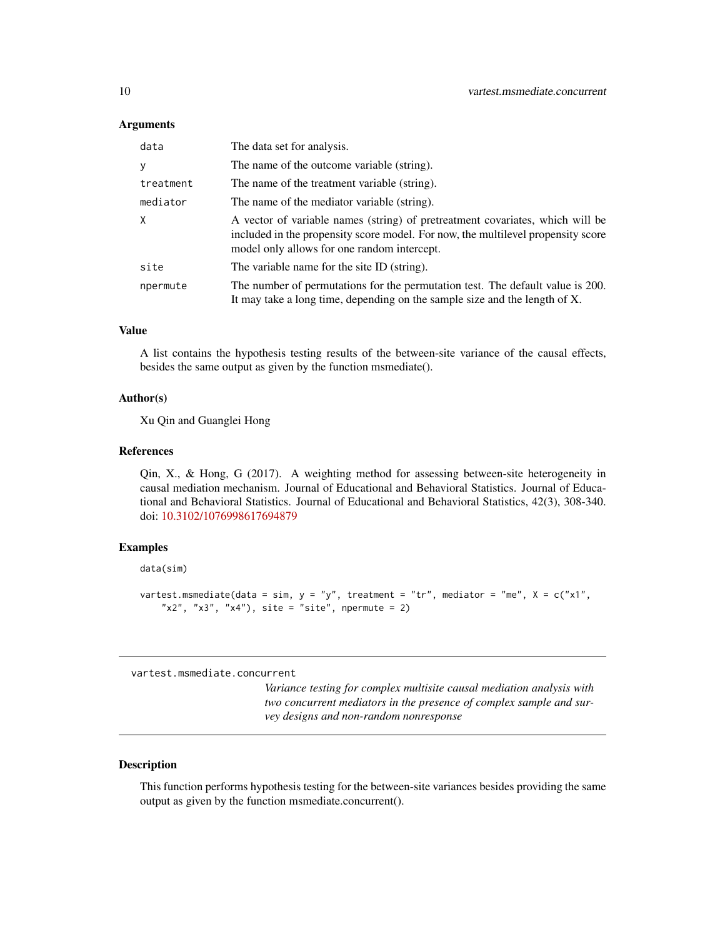#### <span id="page-9-0"></span>**Arguments**

| data         | The data set for analysis.                                                                                                                                                                                       |
|--------------|------------------------------------------------------------------------------------------------------------------------------------------------------------------------------------------------------------------|
| y            | The name of the outcome variable (string).                                                                                                                                                                       |
| treatment    | The name of the treatment variable (string).                                                                                                                                                                     |
| mediator     | The name of the mediator variable (string).                                                                                                                                                                      |
| $\mathsf{X}$ | A vector of variable names (string) of pretreatment covariates, which will be<br>included in the propensity score model. For now, the multilevel propensity score<br>model only allows for one random intercept. |
| site         | The variable name for the site ID (string).                                                                                                                                                                      |
| npermute     | The number of permutations for the permutation test. The default value is 200.<br>It may take a long time, depending on the sample size and the length of X.                                                     |

#### Value

A list contains the hypothesis testing results of the between-site variance of the causal effects, besides the same output as given by the function msmediate().

#### Author(s)

Xu Qin and Guanglei Hong

#### References

Qin, X., & Hong, G (2017). A weighting method for assessing between-site heterogeneity in causal mediation mechanism. Journal of Educational and Behavioral Statistics. Journal of Educational and Behavioral Statistics. Journal of Educational and Behavioral Statistics, 42(3), 308-340. doi: [10.3102/1076998617694879](https://doi.org/10.3102/1076998617694879)

#### Examples

data(sim)

```
vartest.msmediate(data = sim, y = "y", treatment = "tr", mediator = "me", X = c("x1","x2", "x3", "x4"), site = "site", npermute = 2)
```
vartest.msmediate.concurrent

*Variance testing for complex multisite causal mediation analysis with two concurrent mediators in the presence of complex sample and survey designs and non-random nonresponse*

#### Description

This function performs hypothesis testing for the between-site variances besides providing the same output as given by the function msmediate.concurrent().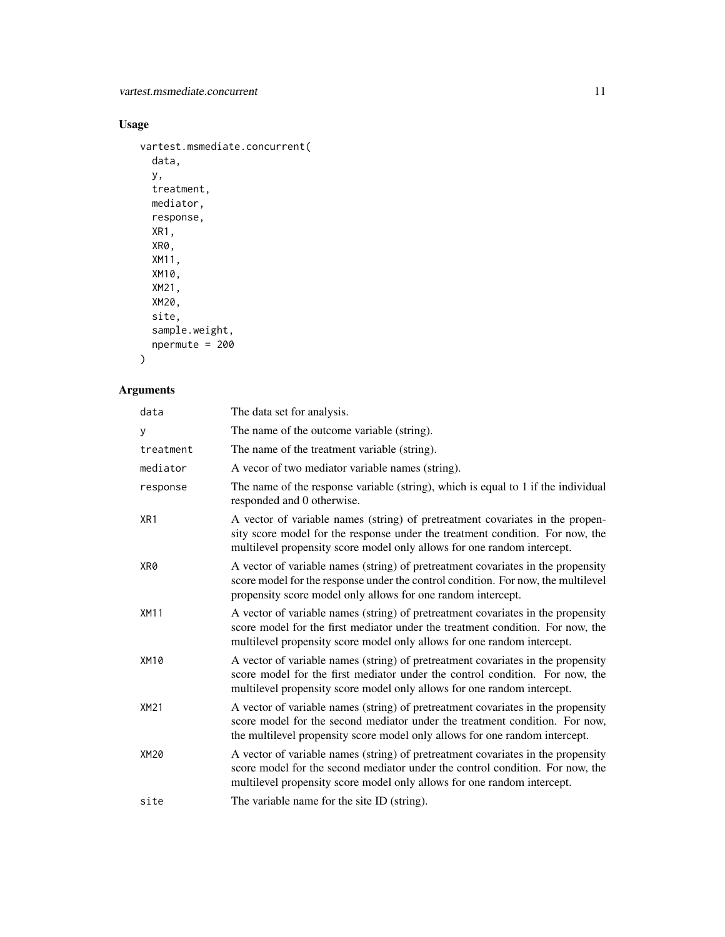#### Usage

```
vartest.msmediate.concurrent(
 data,
 y,
 treatment,
 mediator,
 response,
 XR1,
 XR0,
 XM11,
 XM10,
 XM21,
 XM20,
 site,
 sample.weight,
 npermute = 200
```

```
\mathcal{L}
```

| data        | The data set for analysis.                                                                                                                                                                                                                     |
|-------------|------------------------------------------------------------------------------------------------------------------------------------------------------------------------------------------------------------------------------------------------|
| У           | The name of the outcome variable (string).                                                                                                                                                                                                     |
| treatment   | The name of the treatment variable (string).                                                                                                                                                                                                   |
| mediator    | A vecor of two mediator variable names (string).                                                                                                                                                                                               |
| response    | The name of the response variable (string), which is equal to 1 if the individual<br>responded and 0 otherwise.                                                                                                                                |
| XR1         | A vector of variable names (string) of pretreatment covariates in the propen-<br>sity score model for the response under the treatment condition. For now, the<br>multilevel propensity score model only allows for one random intercept.      |
| XR0         | A vector of variable names (string) of pretreatment covariates in the propensity<br>score model for the response under the control condition. For now, the multilevel<br>propensity score model only allows for one random intercept.          |
| XM11        | A vector of variable names (string) of pretreatment covariates in the propensity<br>score model for the first mediator under the treatment condition. For now, the<br>multilevel propensity score model only allows for one random intercept.  |
| <b>XM10</b> | A vector of variable names (string) of pretreatment covariates in the propensity<br>score model for the first mediator under the control condition. For now, the<br>multilevel propensity score model only allows for one random intercept.    |
| XM21        | A vector of variable names (string) of pretreatment covariates in the propensity<br>score model for the second mediator under the treatment condition. For now,<br>the multilevel propensity score model only allows for one random intercept. |
| XM20        | A vector of variable names (string) of pretreatment covariates in the propensity<br>score model for the second mediator under the control condition. For now, the<br>multilevel propensity score model only allows for one random intercept.   |
| site        | The variable name for the site ID (string).                                                                                                                                                                                                    |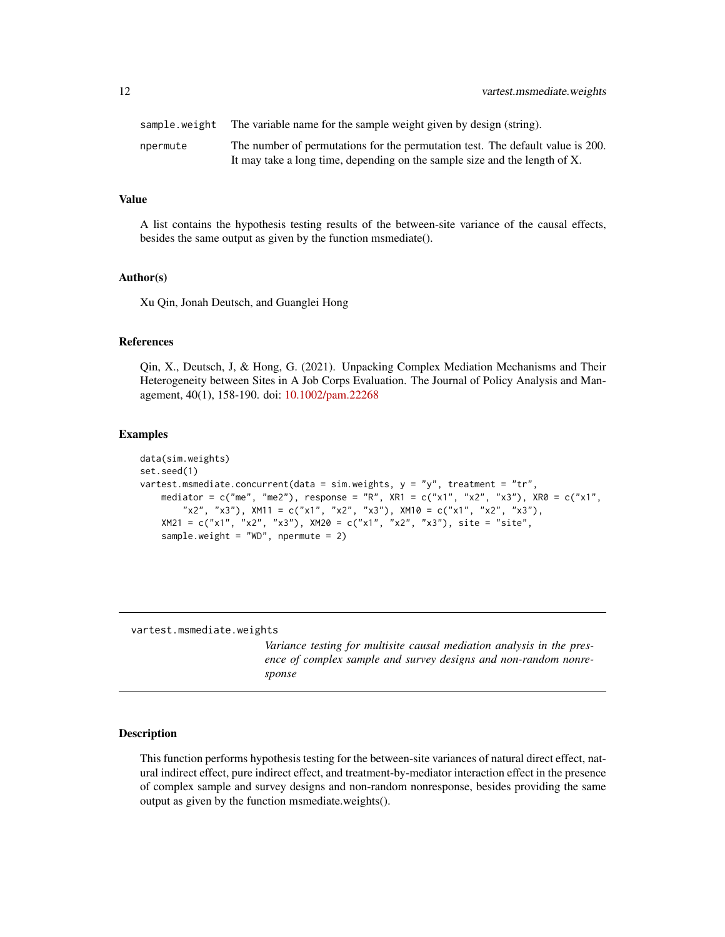<span id="page-11-0"></span>

| sample.weight | The variable name for the sample weight given by design (string).                                                                                            |
|---------------|--------------------------------------------------------------------------------------------------------------------------------------------------------------|
| npermute      | The number of permutations for the permutation test. The default value is 200.<br>It may take a long time, depending on the sample size and the length of X. |

#### Value

A list contains the hypothesis testing results of the between-site variance of the causal effects, besides the same output as given by the function msmediate().

#### Author(s)

Xu Qin, Jonah Deutsch, and Guanglei Hong

#### References

Qin, X., Deutsch, J, & Hong, G. (2021). Unpacking Complex Mediation Mechanisms and Their Heterogeneity between Sites in A Job Corps Evaluation. The Journal of Policy Analysis and Management, 40(1), 158-190. doi: [10.1002/pam.22268](https://doi.org/10.1002/pam.22268)

#### Examples

```
data(sim.weights)
set.seed(1)
vartest.msmediate.concurrent(data = sim.weights, y = "y", treatment = "tr",
    mediator = c("me", "me2"), response = "R", XR1 = c("x1", "x2", "x3"), XR0 = c("x1",
        "x2", "x3"), XML1 = c("x1", "x2", "x3"), XML2 = c("x1", "x2", "x3"),
   XM21 = c("x1", "x2", "x3"), XM20 = c("x1", "x2", "x3"), site = "site",sample.weight = "WD", npermute = 2)
```
vartest.msmediate.weights

*Variance testing for multisite causal mediation analysis in the presence of complex sample and survey designs and non-random nonresponse*

#### Description

This function performs hypothesis testing for the between-site variances of natural direct effect, natural indirect effect, pure indirect effect, and treatment-by-mediator interaction effect in the presence of complex sample and survey designs and non-random nonresponse, besides providing the same output as given by the function msmediate.weights().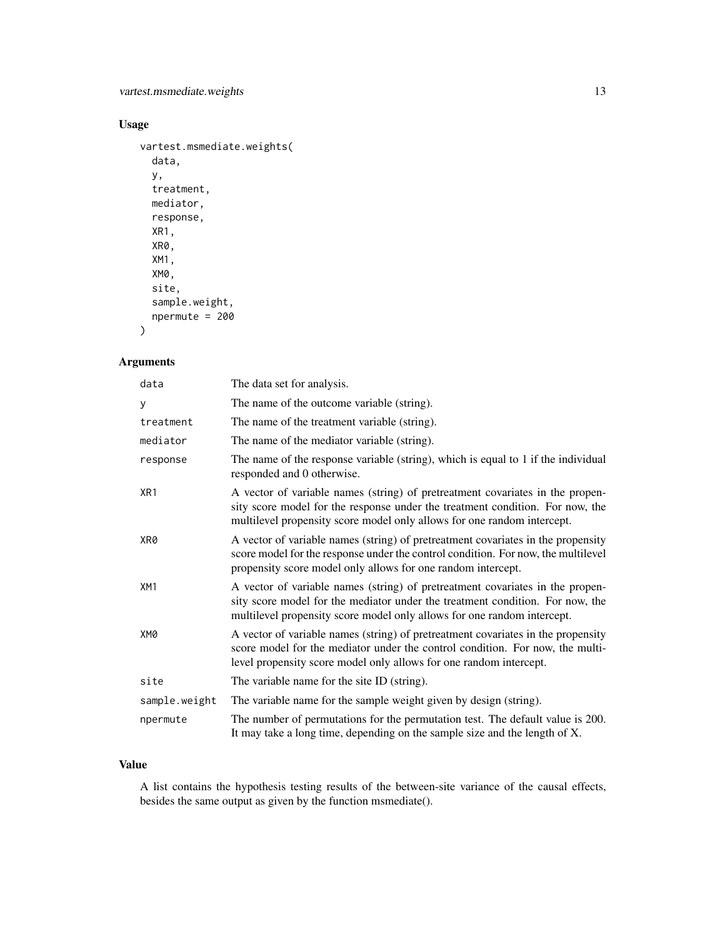#### Usage

```
vartest.msmediate.weights(
  data,
 y,
  treatment,
 mediator,
 response,
 XR1,
 XR0,
 XM1,
 XM0,
  site,
  sample.weight,
 npermute = 200
```

```
)
```
#### Arguments

| data            | The data set for analysis.                                                                                                                                                                                                                |
|-----------------|-------------------------------------------------------------------------------------------------------------------------------------------------------------------------------------------------------------------------------------------|
| у               | The name of the outcome variable (string).                                                                                                                                                                                                |
| treatment       | The name of the treatment variable (string).                                                                                                                                                                                              |
| mediator        | The name of the mediator variable (string).                                                                                                                                                                                               |
| response        | The name of the response variable (string), which is equal to 1 if the individual<br>responded and 0 otherwise.                                                                                                                           |
| XR <sub>1</sub> | A vector of variable names (string) of pretreatment covariates in the propen-<br>sity score model for the response under the treatment condition. For now, the<br>multilevel propensity score model only allows for one random intercept. |
| XR0             | A vector of variable names (string) of pretreatment covariates in the propensity<br>score model for the response under the control condition. For now, the multilevel<br>propensity score model only allows for one random intercept.     |
| XM1             | A vector of variable names (string) of pretreatment covariates in the propen-<br>sity score model for the mediator under the treatment condition. For now, the<br>multilevel propensity score model only allows for one random intercept. |
| XM0             | A vector of variable names (string) of pretreatment covariates in the propensity<br>score model for the mediator under the control condition. For now, the multi-<br>level propensity score model only allows for one random intercept.   |
| site            | The variable name for the site ID (string).                                                                                                                                                                                               |
| sample.weight   | The variable name for the sample weight given by design (string).                                                                                                                                                                         |
| npermute        | The number of permutations for the permutation test. The default value is 200.<br>It may take a long time, depending on the sample size and the length of X.                                                                              |

#### Value

A list contains the hypothesis testing results of the between-site variance of the causal effects, besides the same output as given by the function msmediate().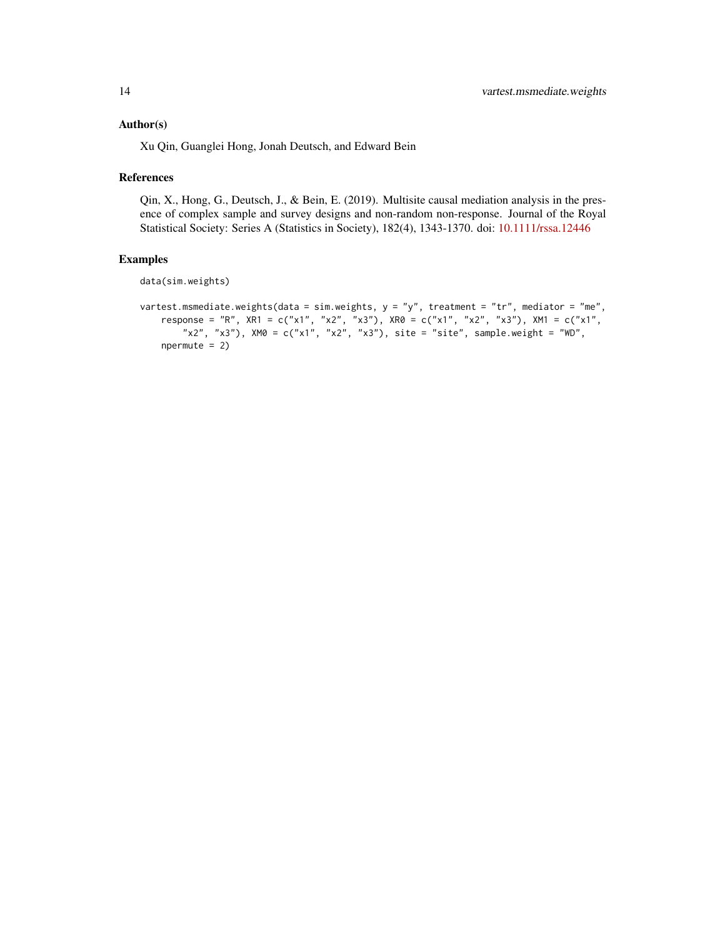#### Author(s)

Xu Qin, Guanglei Hong, Jonah Deutsch, and Edward Bein

#### References

Qin, X., Hong, G., Deutsch, J., & Bein, E. (2019). Multisite causal mediation analysis in the presence of complex sample and survey designs and non-random non-response. Journal of the Royal Statistical Society: Series A (Statistics in Society), 182(4), 1343-1370. doi: [10.1111/rssa.12446](https://doi.org/10.1111/rssa.12446)

#### Examples

data(sim.weights)

```
vartest.msmediate.weights(data = sim.weights, y = "y", treatment = "tr", mediator = "me",
   response = "R", XR1 = c("x1", "x2", "x3"), XR0 = c("x1", "x2", "x3"), XM1 = c("x1",
        "x2", "x3"), XM0 = c("x1", "x2", "x3"), site = "site", sample.weight = "WD",
   npermute = 2)
```